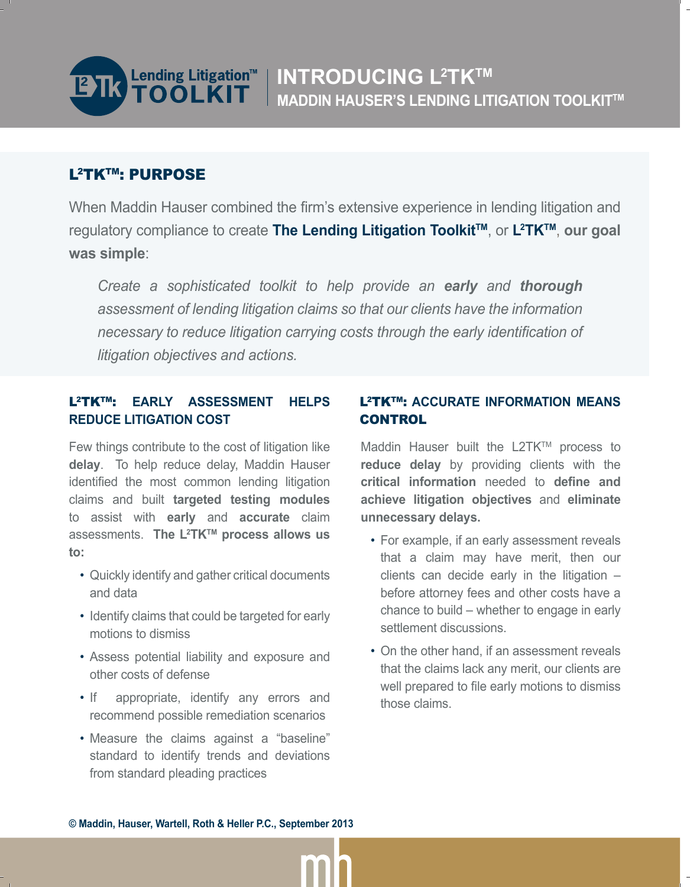

# L2TKTM: PURPOSE

When Maddin Hauser combined the firm's extensive experience in lending litigation and regulatory compliance to create **The Lending Litigation ToolkitTM**, or **L2 TKTM**, **our goal was simple**:

*Create a sophisticated toolkit to help provide an early and thorough assessment of lending litigation claims so that our clients have the information necessary to reduce litigation carrying costs through the early identification of litigation objectives and actions.*

### L2TKTM: **EARLY ASSESSMENT HELPS REDUCE LITIGATION COST**

Few things contribute to the cost of litigation like **delay**. To help reduce delay, Maddin Hauser identified the most common lending litigation claims and built **targeted testing modules** to assist with **early** and **accurate** claim assessments. The L<sup>2</sup>TK<sup>™</sup> process allows us **to:**

- Quickly identify and gather critical documents and data
- Identify claims that could be targeted for early motions to dismiss
- Assess potential liability and exposure and other costs of defense
- If appropriate, identify any errors and recommend possible remediation scenarios
- Measure the claims against a "baseline" standard to identify trends and deviations from standard pleading practices

### L2TKTM: **ACCURATE INFORMATION MEANS CONTROL**

Maddin Hauser built the L2TK™ process to **reduce delay** by providing clients with the **critical information** needed to define and **achieve litigation objectives** and **eliminate unnecessary delays.**

- For example, if an early assessment reveals that a claim may have merit, then our clients can decide early in the litigation – before attorney fees and other costs have a chance to build – whether to engage in early settlement discussions.
- On the other hand, if an assessment reveals that the claims lack any merit, our clients are well prepared to file early motions to dismiss those claims.

**© Maddin, Hauser, Wartell, Roth & Heller P.C., September 2013**